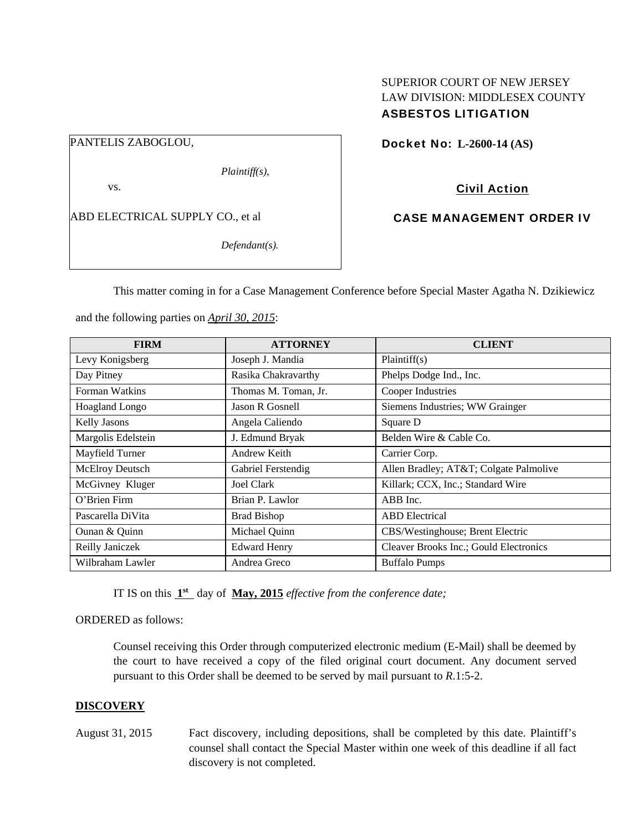## SUPERIOR COURT OF NEW JERSEY LAW DIVISION: MIDDLESEX COUNTY ASBESTOS LITIGATION

PANTELIS ZABOGLOU,

*Plaintiff(s),* 

vs.

ABD ELECTRICAL SUPPLY CO., et al

*Defendant(s).* 

Docket No: **L-2600-14 (AS)** 

# Civil Action

## CASE MANAGEMENT ORDER IV

This matter coming in for a Case Management Conference before Special Master Agatha N. Dzikiewicz

and the following parties on *April 30, 2015*:

| <b>FIRM</b>           | <b>ATTORNEY</b>      | <b>CLIENT</b>                          |
|-----------------------|----------------------|----------------------------------------|
| Levy Konigsberg       | Joseph J. Mandia     | Plaintiff(s)                           |
| Day Pitney            | Rasika Chakravarthy  | Phelps Dodge Ind., Inc.                |
| Forman Watkins        | Thomas M. Toman, Jr. | Cooper Industries                      |
| <b>Hoagland Longo</b> | Jason R Gosnell      | Siemens Industries; WW Grainger        |
| <b>Kelly Jasons</b>   | Angela Caliendo      | Square D                               |
| Margolis Edelstein    | J. Edmund Bryak      | Belden Wire & Cable Co.                |
| Mayfield Turner       | Andrew Keith         | Carrier Corp.                          |
| McElroy Deutsch       | Gabriel Ferstendig   | Allen Bradley; AT&T Colgate Palmolive  |
| McGivney Kluger       | <b>Joel Clark</b>    | Killark; CCX, Inc.; Standard Wire      |
| O'Brien Firm          | Brian P. Lawlor      | ABB Inc.                               |
| Pascarella DiVita     | <b>Brad Bishop</b>   | <b>ABD</b> Electrical                  |
| Ounan & Quinn         | Michael Quinn        | CBS/Westinghouse; Brent Electric       |
| Reilly Janiczek       | <b>Edward Henry</b>  | Cleaver Brooks Inc.; Gould Electronics |
| Wilbraham Lawler      | Andrea Greco         | <b>Buffalo Pumps</b>                   |

IT IS on this **1st** day of **May, 2015** *effective from the conference date;*

## ORDERED as follows:

Counsel receiving this Order through computerized electronic medium (E-Mail) shall be deemed by the court to have received a copy of the filed original court document. Any document served pursuant to this Order shall be deemed to be served by mail pursuant to *R*.1:5-2.

## **DISCOVERY**

August 31, 2015 Fact discovery, including depositions, shall be completed by this date. Plaintiff's counsel shall contact the Special Master within one week of this deadline if all fact discovery is not completed.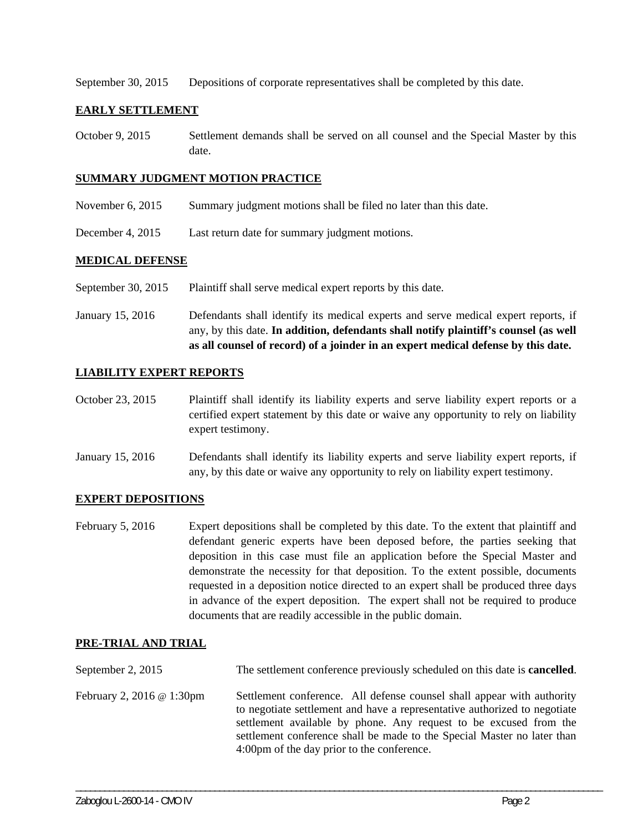September 30, 2015 Depositions of corporate representatives shall be completed by this date.

## **EARLY SETTLEMENT**

October 9, 2015 Settlement demands shall be served on all counsel and the Special Master by this date.

#### **SUMMARY JUDGMENT MOTION PRACTICE**

- November 6, 2015 Summary judgment motions shall be filed no later than this date.
- December 4, 2015 Last return date for summary judgment motions.

## **MEDICAL DEFENSE**

September 30, 2015 Plaintiff shall serve medical expert reports by this date.

January 15, 2016 Defendants shall identify its medical experts and serve medical expert reports, if any, by this date. **In addition, defendants shall notify plaintiff's counsel (as well as all counsel of record) of a joinder in an expert medical defense by this date.** 

## **LIABILITY EXPERT REPORTS**

October 23, 2015 Plaintiff shall identify its liability experts and serve liability expert reports or a certified expert statement by this date or waive any opportunity to rely on liability expert testimony.

January 15, 2016 Defendants shall identify its liability experts and serve liability expert reports, if any, by this date or waive any opportunity to rely on liability expert testimony.

## **EXPERT DEPOSITIONS**

February 5, 2016 Expert depositions shall be completed by this date. To the extent that plaintiff and defendant generic experts have been deposed before, the parties seeking that deposition in this case must file an application before the Special Master and demonstrate the necessity for that deposition. To the extent possible, documents requested in a deposition notice directed to an expert shall be produced three days in advance of the expert deposition. The expert shall not be required to produce documents that are readily accessible in the public domain.

## **PRE-TRIAL AND TRIAL**

| September 2, 2015                | The settlement conference previously scheduled on this date is <b>cancelled</b> .                                                                                                                                                                                                                                                                 |
|----------------------------------|---------------------------------------------------------------------------------------------------------------------------------------------------------------------------------------------------------------------------------------------------------------------------------------------------------------------------------------------------|
| February 2, 2016 $\omega$ 1:30pm | Settlement conference. All defense counsel shall appear with authority<br>to negotiate settlement and have a representative authorized to negotiate<br>settlement available by phone. Any request to be excused from the<br>settlement conference shall be made to the Special Master no later than<br>4:00pm of the day prior to the conference. |

\_\_\_\_\_\_\_\_\_\_\_\_\_\_\_\_\_\_\_\_\_\_\_\_\_\_\_\_\_\_\_\_\_\_\_\_\_\_\_\_\_\_\_\_\_\_\_\_\_\_\_\_\_\_\_\_\_\_\_\_\_\_\_\_\_\_\_\_\_\_\_\_\_\_\_\_\_\_\_\_\_\_\_\_\_\_\_\_\_\_\_\_\_\_\_\_\_\_\_\_\_\_\_\_\_\_\_\_\_\_